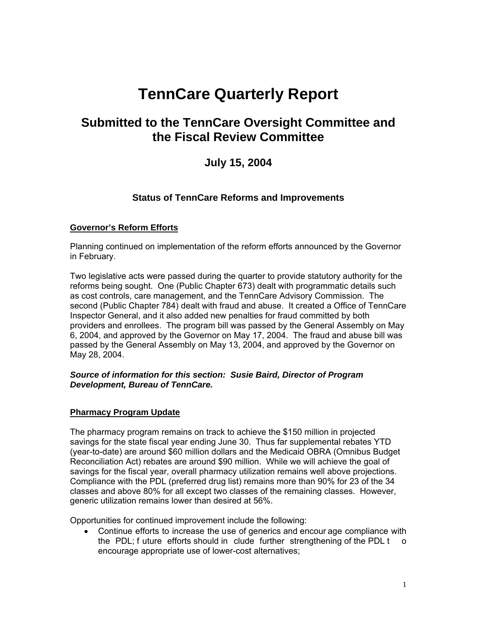# **TennCare Quarterly Report**

## **Submitted to the TennCare Oversight Committee and the Fiscal Review Committee**

## **July 15, 2004**

## **Status of TennCare Reforms and Improvements**

## **Governor's Reform Efforts**

Planning continued on implementation of the reform efforts announced by the Governor in February.

Two legislative acts were passed during the quarter to provide statutory authority for the reforms being sought. One (Public Chapter 673) dealt with programmatic details such as cost controls, care management, and the TennCare Advisory Commission. The second (Public Chapter 784) dealt with fraud and abuse. It created a Office of TennCare Inspector General, and it also added new penalties for fraud committed by both providers and enrollees. The program bill was passed by the General Assembly on May 6, 2004, and approved by the Governor on May 17, 2004. The fraud and abuse bill was passed by the General Assembly on May 13, 2004, and approved by the Governor on May 28, 2004.

#### *Source of information for this section: Susie Baird, Director of Program Development, Bureau of TennCare.*

## **Pharmacy Program Update**

The pharmacy program remains on track to achieve the \$150 million in projected savings for the state fiscal year ending June 30. Thus far supplemental rebates YTD (year-to-date) are around \$60 million dollars and the Medicaid OBRA (Omnibus Budget Reconciliation Act) rebates are around \$90 million. While we will achieve the goal of savings for the fiscal year, overall pharmacy utilization remains well above projections. Compliance with the PDL (preferred drug list) remains more than 90% for 23 of the 34 classes and above 80% for all except two classes of the remaining classes. However, generic utilization remains lower than desired at 56%.

Opportunities for continued improvement include the following:

• Continue efforts to increase the use of generics and encour age compliance with the PDL; f uture efforts should in clude further strengthening of the PDL t o encourage appropriate use of lower-cost alternatives;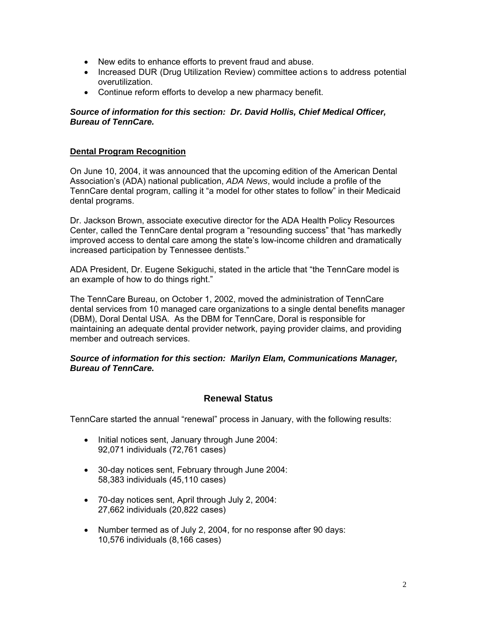- New edits to enhance efforts to prevent fraud and abuse.
- Increased DUR (Drug Utilization Review) committee actions to address potential overutilization.
- Continue reform efforts to develop a new pharmacy benefit.

## *Source of information for this section: Dr. David Hollis, Chief Medical Officer, Bureau of TennCare.*

#### **Dental Program Recognition**

On June 10, 2004, it was announced that the upcoming edition of the American Dental Association's (ADA) national publication, *ADA News*, would include a profile of the TennCare dental program, calling it "a model for other states to follow" in their Medicaid dental programs.

Dr. Jackson Brown, associate executive director for the ADA Health Policy Resources Center, called the TennCare dental program a "resounding success" that "has markedly improved access to dental care among the state's low-income children and dramatically increased participation by Tennessee dentists."

ADA President, Dr. Eugene Sekiguchi, stated in the article that "the TennCare model is an example of how to do things right."

The TennCare Bureau, on October 1, 2002, moved the administration of TennCare dental services from 10 managed care organizations to a single dental benefits manager (DBM), Doral Dental USA. As the DBM for TennCare, Doral is responsible for maintaining an adequate dental provider network, paying provider claims, and providing member and outreach services.

#### *Source of information for this section: Marilyn Elam, Communications Manager, Bureau of TennCare.*

## **Renewal Status**

TennCare started the annual "renewal" process in January, with the following results:

- Initial notices sent, January through June 2004: 92,071 individuals (72,761 cases)
- 30-day notices sent, February through June 2004: 58,383 individuals (45,110 cases)
- 70-day notices sent, April through July 2, 2004: 27,662 individuals (20,822 cases)
- Number termed as of July 2, 2004, for no response after 90 days: 10,576 individuals (8,166 cases)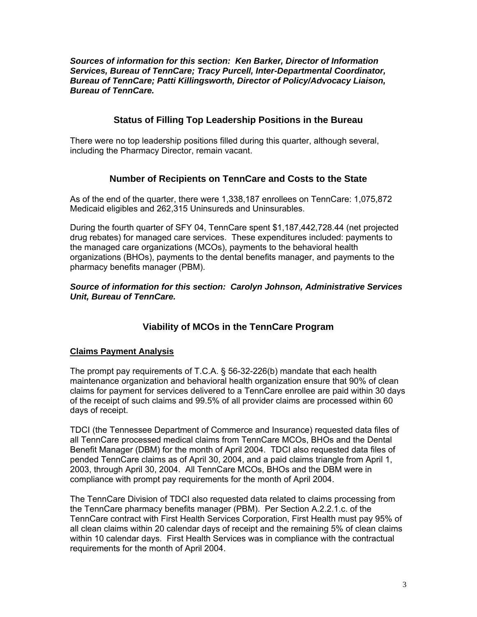*Sources of information for this section: Ken Barker, Director of Information Services, Bureau of TennCare; Tracy Purcell, Inter-Departmental Coordinator, Bureau of TennCare; Patti Killingsworth, Director of Policy/Advocacy Liaison, Bureau of TennCare.* 

## **Status of Filling Top Leadership Positions in the Bureau**

There were no top leadership positions filled during this quarter, although several, including the Pharmacy Director, remain vacant.

## **Number of Recipients on TennCare and Costs to the State**

As of the end of the quarter, there were 1,338,187 enrollees on TennCare: 1,075,872 Medicaid eligibles and 262,315 Uninsureds and Uninsurables.

During the fourth quarter of SFY 04, TennCare spent \$1,187,442,728.44 (net projected drug rebates) for managed care services. These expenditures included: payments to the managed care organizations (MCOs), payments to the behavioral health organizations (BHOs), payments to the dental benefits manager, and payments to the pharmacy benefits manager (PBM).

*Source of information for this section: Carolyn Johnson, Administrative Services Unit, Bureau of TennCare.* 

## **Viability of MCOs in the TennCare Program**

## **Claims Payment Analysis**

The prompt pay requirements of T.C.A. § 56-32-226(b) mandate that each health maintenance organization and behavioral health organization ensure that 90% of clean claims for payment for services delivered to a TennCare enrollee are paid within 30 days of the receipt of such claims and 99.5% of all provider claims are processed within 60 days of receipt.

TDCI (the Tennessee Department of Commerce and Insurance) requested data files of all TennCare processed medical claims from TennCare MCOs, BHOs and the Dental Benefit Manager (DBM) for the month of April 2004. TDCI also requested data files of pended TennCare claims as of April 30, 2004, and a paid claims triangle from April 1, 2003, through April 30, 2004. All TennCare MCOs, BHOs and the DBM were in compliance with prompt pay requirements for the month of April 2004.

The TennCare Division of TDCI also requested data related to claims processing from the TennCare pharmacy benefits manager (PBM). Per Section A.2.2.1.c. of the TennCare contract with First Health Services Corporation, First Health must pay 95% of all clean claims within 20 calendar days of receipt and the remaining 5% of clean claims within 10 calendar days. First Health Services was in compliance with the contractual requirements for the month of April 2004.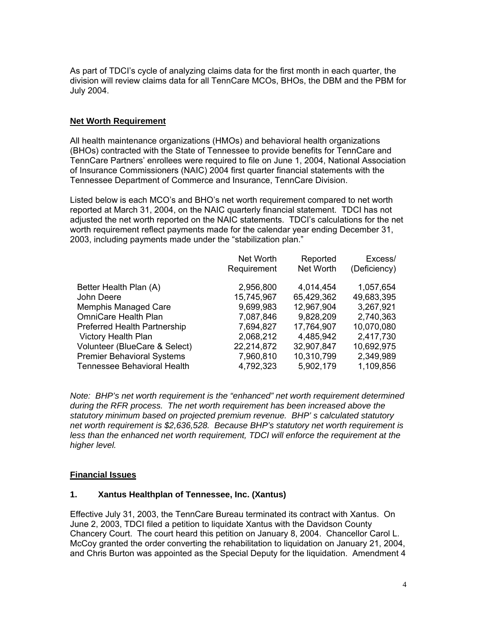As part of TDCI's cycle of analyzing claims data for the first month in each quarter, the division will review claims data for all TennCare MCOs, BHOs, the DBM and the PBM for July 2004.

## **Net Worth Requirement**

All health maintenance organizations (HMOs) and behavioral health organizations (BHOs) contracted with the State of Tennessee to provide benefits for TennCare and TennCare Partners' enrollees were required to file on June 1, 2004, National Association of Insurance Commissioners (NAIC) 2004 first quarter financial statements with the Tennessee Department of Commerce and Insurance, TennCare Division.

Listed below is each MCO's and BHO's net worth requirement compared to net worth reported at March 31, 2004, on the NAIC quarterly financial statement. TDCI has not adjusted the net worth reported on the NAIC statements. TDCI's calculations for the net worth requirement reflect payments made for the calendar year ending December 31, 2003, including payments made under the "stabilization plan."

|                                     | Net Worth   | Reported   | Excess/      |
|-------------------------------------|-------------|------------|--------------|
|                                     | Requirement | Net Worth  | (Deficiency) |
| Better Health Plan (A)              | 2,956,800   | 4,014,454  | 1,057,654    |
| John Deere                          | 15,745,967  | 65,429,362 | 49,683,395   |
| <b>Memphis Managed Care</b>         | 9,699,983   | 12,967,904 | 3,267,921    |
| <b>OmniCare Health Plan</b>         | 7,087,846   | 9,828,209  | 2,740,363    |
| <b>Preferred Health Partnership</b> | 7,694,827   | 17,764,907 | 10,070,080   |
| <b>Victory Health Plan</b>          | 2,068,212   | 4,485,942  | 2,417,730    |
| Volunteer (BlueCare & Select)       | 22,214,872  | 32,907,847 | 10,692,975   |
| <b>Premier Behavioral Systems</b>   | 7,960,810   | 10,310,799 | 2,349,989    |
| <b>Tennessee Behavioral Health</b>  | 4,792,323   | 5,902,179  | 1,109,856    |

*Note: BHP's net worth requirement is the "enhanced" net worth requirement determined during the RFR process. The net worth requirement has been increased above the statutory minimum based on projected premium revenue. BHP' s calculated statutory net worth requirement is \$2,636,528. Because BHP's statutory net worth requirement is*  less than the enhanced net worth requirement, TDCI will enforce the requirement at the *higher level.* 

#### **Financial Issues**

#### **1. Xantus Healthplan of Tennessee, Inc. (Xantus)**

Effective July 31, 2003, the TennCare Bureau terminated its contract with Xantus. On June 2, 2003, TDCI filed a petition to liquidate Xantus with the Davidson County Chancery Court. The court heard this petition on January 8, 2004. Chancellor Carol L. McCoy granted the order converting the rehabilitation to liquidation on January 21, 2004, and Chris Burton was appointed as the Special Deputy for the liquidation. Amendment 4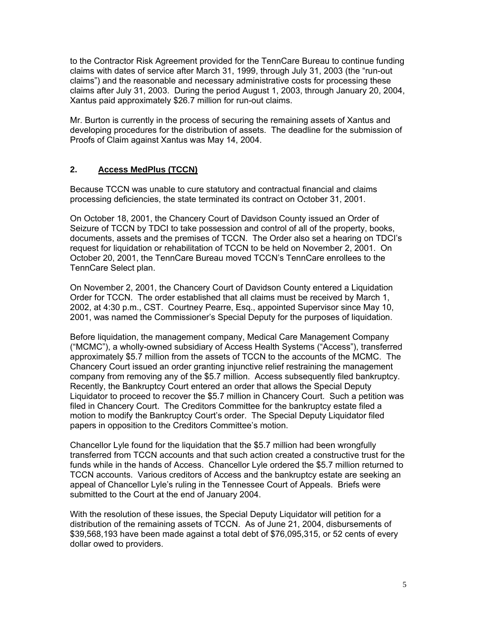to the Contractor Risk Agreement provided for the TennCare Bureau to continue funding claims with dates of service after March 31, 1999, through July 31, 2003 (the "run-out claims") and the reasonable and necessary administrative costs for processing these claims after July 31, 2003. During the period August 1, 2003, through January 20, 2004, Xantus paid approximately \$26.7 million for run-out claims.

Mr. Burton is currently in the process of securing the remaining assets of Xantus and developing procedures for the distribution of assets. The deadline for the submission of Proofs of Claim against Xantus was May 14, 2004.

## **2. Access MedPlus (TCCN)**

Because TCCN was unable to cure statutory and contractual financial and claims processing deficiencies, the state terminated its contract on October 31, 2001.

On October 18, 2001, the Chancery Court of Davidson County issued an Order of Seizure of TCCN by TDCI to take possession and control of all of the property, books, documents, assets and the premises of TCCN. The Order also set a hearing on TDCI's request for liquidation or rehabilitation of TCCN to be held on November 2, 2001. On October 20, 2001, the TennCare Bureau moved TCCN's TennCare enrollees to the TennCare Select plan.

On November 2, 2001, the Chancery Court of Davidson County entered a Liquidation Order for TCCN. The order established that all claims must be received by March 1, 2002, at 4:30 p.m., CST. Courtney Pearre, Esq., appointed Supervisor since May 10, 2001, was named the Commissioner's Special Deputy for the purposes of liquidation.

Before liquidation, the management company, Medical Care Management Company ("MCMC"), a wholly-owned subsidiary of Access Health Systems ("Access"), transferred approximately \$5.7 million from the assets of TCCN to the accounts of the MCMC. The Chancery Court issued an order granting injunctive relief restraining the management company from removing any of the \$5.7 million. Access subsequently filed bankruptcy. Recently, the Bankruptcy Court entered an order that allows the Special Deputy Liquidator to proceed to recover the \$5.7 million in Chancery Court. Such a petition was filed in Chancery Court. The Creditors Committee for the bankruptcy estate filed a motion to modify the Bankruptcy Court's order. The Special Deputy Liquidator filed papers in opposition to the Creditors Committee's motion.

Chancellor Lyle found for the liquidation that the \$5.7 million had been wrongfully transferred from TCCN accounts and that such action created a constructive trust for the funds while in the hands of Access. Chancellor Lyle ordered the \$5.7 million returned to TCCN accounts. Various creditors of Access and the bankruptcy estate are seeking an appeal of Chancellor Lyle's ruling in the Tennessee Court of Appeals. Briefs were submitted to the Court at the end of January 2004.

With the resolution of these issues, the Special Deputy Liquidator will petition for a distribution of the remaining assets of TCCN. As of June 21, 2004, disbursements of \$39,568,193 have been made against a total debt of \$76,095,315, or 52 cents of every dollar owed to providers.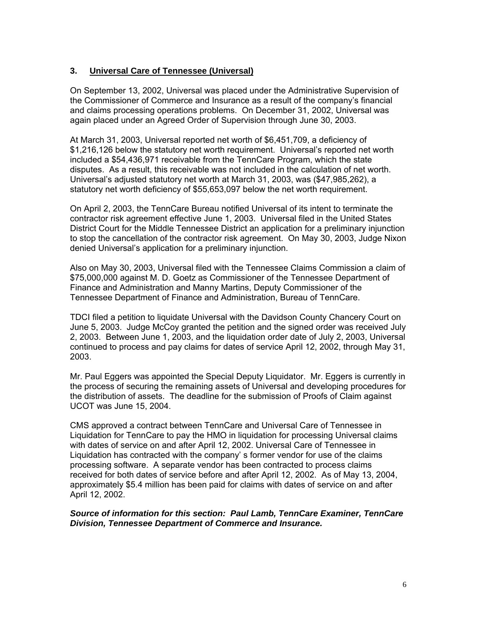## **3. Universal Care of Tennessee (Universal)**

On September 13, 2002, Universal was placed under the Administrative Supervision of the Commissioner of Commerce and Insurance as a result of the company's financial and claims processing operations problems. On December 31, 2002, Universal was again placed under an Agreed Order of Supervision through June 30, 2003.

At March 31, 2003, Universal reported net worth of \$6,451,709, a deficiency of \$1,216,126 below the statutory net worth requirement. Universal's reported net worth included a \$54,436,971 receivable from the TennCare Program, which the state disputes. As a result, this receivable was not included in the calculation of net worth. Universal's adjusted statutory net worth at March 31, 2003, was (\$47,985,262), a statutory net worth deficiency of \$55,653,097 below the net worth requirement.

On April 2, 2003, the TennCare Bureau notified Universal of its intent to terminate the contractor risk agreement effective June 1, 2003. Universal filed in the United States District Court for the Middle Tennessee District an application for a preliminary injunction to stop the cancellation of the contractor risk agreement. On May 30, 2003, Judge Nixon denied Universal's application for a preliminary injunction.

Also on May 30, 2003, Universal filed with the Tennessee Claims Commission a claim of \$75,000,000 against M. D. Goetz as Commissioner of the Tennessee Department of Finance and Administration and Manny Martins, Deputy Commissioner of the Tennessee Department of Finance and Administration, Bureau of TennCare.

TDCI filed a petition to liquidate Universal with the Davidson County Chancery Court on June 5, 2003. Judge McCoy granted the petition and the signed order was received July 2, 2003. Between June 1, 2003, and the liquidation order date of July 2, 2003, Universal continued to process and pay claims for dates of service April 12, 2002, through May 31, 2003.

Mr. Paul Eggers was appointed the Special Deputy Liquidator. Mr. Eggers is currently in the process of securing the remaining assets of Universal and developing procedures for the distribution of assets. The deadline for the submission of Proofs of Claim against UCOT was June 15, 2004.

CMS approved a contract between TennCare and Universal Care of Tennessee in Liquidation for TennCare to pay the HMO in liquidation for processing Universal claims with dates of service on and after April 12, 2002. Universal Care of Tennessee in Liquidation has contracted with the company' s former vendor for use of the claims processing software. A separate vendor has been contracted to process claims received for both dates of service before and after April 12, 2002. As of May 13, 2004, approximately \$5.4 million has been paid for claims with dates of service on and after April 12, 2002.

*Source of information for this section: Paul Lamb, TennCare Examiner, TennCare Division, Tennessee Department of Commerce and Insurance.*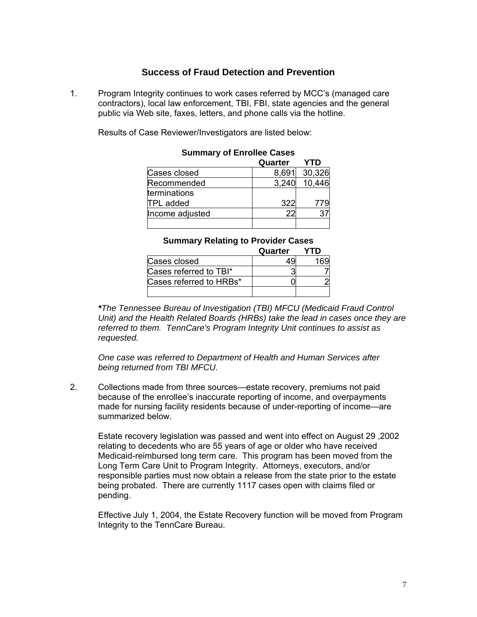## **Success of Fraud Detection and Prevention**

1. Program Integrity continues to work cases referred by MCC's (managed care contractors), local law enforcement, TBI, FBI, state agencies and the general public via Web site, faxes, letters, and phone calls via the hotline.

Results of Case Reviewer/Investigators are listed below:

|                  | Quarter | YTD    |
|------------------|---------|--------|
| Cases closed     | 8,691   | 30,326 |
| Recommended      | 3,240   | 10,446 |
| terminations     |         |        |
| <b>TPL</b> added | 322     | 779    |
| Income adjusted  |         |        |
|                  |         |        |

## **Summary of Enrollee Cases**

|  | <b>Summary Relating to Provider Cases</b> |  |
|--|-------------------------------------------|--|
|  |                                           |  |

|                         | Quarter | YTD |
|-------------------------|---------|-----|
| Cases closed            |         |     |
| Cases referred to TBI*  |         |     |
| Cases referred to HRBs* |         |     |
|                         |         |     |

 *\*The Tennessee Bureau of Investigation (TBI) MFCU (Medicaid Fraud Control <i>Unit*) and the Health Related Boards (HRBs) take the lead in cases once they are  *referred to them. TennCare's Program Integrity Unit continues to assist as requested.* 

 *One case was referred to Department of Health and Human Services after being returned from TBI MFCU.* 

2. Collections made from three sources—estate recovery, premiums not paid because of the enrollee's inaccurate reporting of income, and overpayments made for nursing facility residents because of under-reporting of income—are summarized below.

 Estate recovery legislation was passed and went into effect on August 29 ,2002 relating to decedents who are 55 years of age or older who have received Medicaid-reimbursed long term care. This program has been moved from the Long Term Care Unit to Program Integrity. Attorneys, executors, and/or responsible parties must now obtain a release from the state prior to the estate being probated. There are currently 1117 cases open with claims filed or pending.

 Effective July 1, 2004, the Estate Recovery function will be moved from Program Integrity to the TennCare Bureau.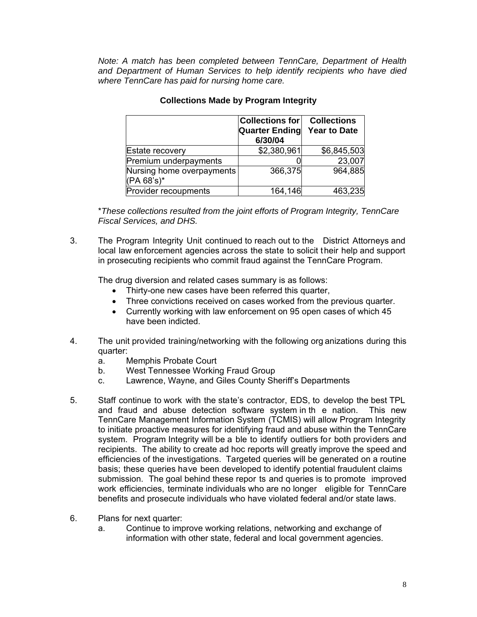*Note: A match has been completed between TennCare, Department of Health and Department of Human Services to help identify recipients who have died where TennCare has paid for nursing home care.* 

|                                         | Collections for<br><b>Quarter Ending</b><br>6/30/04 | <b>Collections</b><br><b>Year to Date</b> |
|-----------------------------------------|-----------------------------------------------------|-------------------------------------------|
| Estate recovery                         | \$2,380,961                                         | \$6,845,503                               |
| Premium underpayments                   |                                                     | 23,007                                    |
| Nursing home overpayments<br>(PA 68's)* | 366,375                                             | 964,885                                   |
| Provider recoupments                    | 164,146                                             | 463,235                                   |

## **Collections Made by Program Integrity**

 \**These collections resulted from the joint efforts of Program Integrity, TennCare Fiscal Services, and DHS.*

3. The Program Integrity Unit continued to reach out to the District Attorneys and local law enforcement agencies across the state to solicit their help and support in prosecuting recipients who commit fraud against the TennCare Program.

The drug diversion and related cases summary is as follows:

- Thirty-one new cases have been referred this quarter,
- Three convictions received on cases worked from the previous quarter.
- Currently working with law enforcement on 95 open cases of which 45 have been indicted.
- 4. The unit provided training/networking with the following org anizations during this quarter:
	- a. Memphis Probate Court
	- b. West Tennessee Working Fraud Group
	- c. Lawrence, Wayne, and Giles County Sheriff's Departments
- 5. Staff continue to work with the state's contractor, EDS, to develop the best TPL and fraud and abuse detection software system in th e nation. This new TennCare Management Information System (TCMIS) will allow Program Integrity to initiate proactive measures for identifying fraud and abuse within the TennCare system. Program Integrity will be a ble to identify outliers for both providers and recipients. The ability to create ad hoc reports will greatly improve the speed and efficiencies of the investigations. Targeted queries will be generated on a routine basis; these queries have been developed to identify potential fraudulent claims submission. The goal behind these repor ts and queries is to promote improved work efficiencies, terminate individuals who are no longer eligible for TennCare benefits and prosecute individuals who have violated federal and/or state laws.
- 6. Plans for next quarter:
	- a. Continue to improve working relations, networking and exchange of information with other state, federal and local government agencies.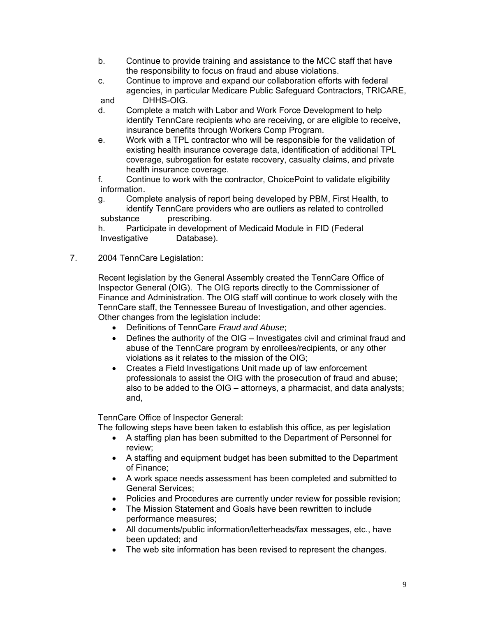- b. Continue to provide training and assistance to the MCC staff that have the responsibility to focus on fraud and abuse violations.
- c. Continue to improve and expand our collaboration efforts with federal agencies, in particular Medicare Public Safeguard Contractors, TRICARE,

and DHHS-OIG.

- d. Complete a match with Labor and Work Force Development to help identify TennCare recipients who are receiving, or are eligible to receive, insurance benefits through Workers Comp Program.
- e. Work with a TPL contractor who will be responsible for the validation of existing health insurance coverage data, identification of additional TPL coverage, subrogation for estate recovery, casualty claims, and private health insurance coverage.

 f. Continue to work with the contractor, ChoicePoint to validate eligibility information.

 g. Complete analysis of report being developed by PBM, First Health, to identify TennCare providers who are outliers as related to controlled<br>substance prescribing. prescribing.

 h. Participate in development of Medicaid Module in FID (Federal Investigative Database).

7. 2004 TennCare Legislation:

 Recent legislation by the General Assembly created the TennCare Office of Inspector General (OIG). The OIG reports directly to the Commissioner of Finance and Administration. The OIG staff will continue to work closely with the TennCare staff, the Tennessee Bureau of Investigation, and other agencies. Other changes from the legislation include:

- Definitions of TennCare *Fraud and Abuse*;
- Defines the authority of the OIG Investigates civil and criminal fraud and abuse of the TennCare program by enrollees/recipients, or any other violations as it relates to the mission of the OIG;
- Creates a Field Investigations Unit made up of law enforcement professionals to assist the OIG with the prosecution of fraud and abuse; also to be added to the OIG – attorneys, a pharmacist, and data analysts; and,

TennCare Office of Inspector General:

The following steps have been taken to establish this office, as per legislation

- A staffing plan has been submitted to the Department of Personnel for review;
- A staffing and equipment budget has been submitted to the Department of Finance;
- A work space needs assessment has been completed and submitted to General Services;
- Policies and Procedures are currently under review for possible revision;
- The Mission Statement and Goals have been rewritten to include performance measures;
- All documents/public information/letterheads/fax messages, etc., have been updated; and
- The web site information has been revised to represent the changes.